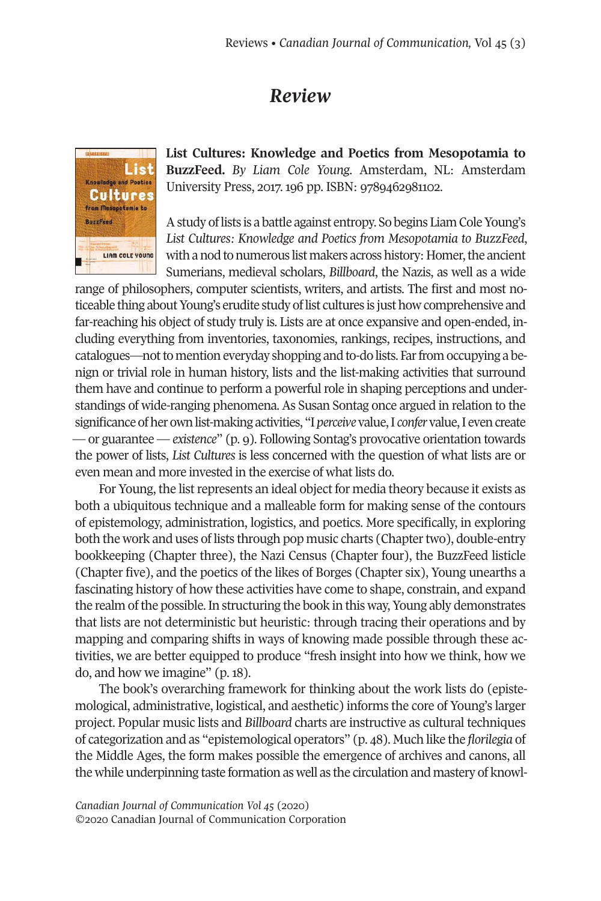## *Review*



**List Cultures: Knowledge and Poetics from Mesopotamia to BuzzFeed.** *By Liam Cole Young.* Amsterdam, NL: Amsterdam University Press, 2017. 196 pp. ISBN: 9789462981102.

A study of lists is a battle against entropy. So begins Liam Cole Young's *List Cultures: Knowledge and Poetics from Mesopotamia to BuzzFeed*, with a nod to numerous list makers across history: Homer, the ancient Sumerians, medieval scholars, *Billboard*, the Nazis, as well as a wide

range of philosophers, computer scientists, writers, and artists. The first and most noticeable thing about Young's erudite study of list cultures is just how comprehensive and far-reaching his object of study truly is. Lists are at once expansive and open-ended, including everything from inventories, taxonomies, rankings, recipes, instructions, and catalogues—not to mention everyday shopping and to-do lists. Far from occupying a benign or trivial role in human history, lists and the list-making activities that surround them have and continue to perform a powerful role in shaping perceptions and understandings of wide-ranging phenomena. As Susan Sontag once argued in relation to the significance ofher ownlist-making activities, "I *perceive* value,I *confer* value,I evencreate — or guarantee — *existence*" (p. 9). Following Sontag's provocative orientation towards the power of lists, *List Cultures* is less concerned with the question of what lists are or even mean and more invested in the exercise of what lists do.

For Young, the list represents an ideal object for media theory because it exists as both a ubiquitous technique and a malleable form for making sense of the contours of epistemology, administration, logistics, and poetics. More specifically, in exploring both the work and uses of lists through pop music charts (Chaptertwo), double-entry bookkeeping (Chapter three), the Nazi Census (Chapter four), the BuzzFeed listicle (Chapter five), and the poetics of the likes of Borges (Chapter six), Young unearths a fascinating history of how these activities have come to shape, constrain, and expand the realm of the possible. In structuring the book in this way, Young ably demonstrates that lists are not deterministic but heuristic: through tracing their operations and by mapping and comparing shifts in ways of knowing made possible through these activities, we are better equipped to produce "fresh insight into how we think, how we do, and how we imagine" (p. 18).

The book's overarching framework for thinking about the work lists do (epistemological, administrative, logistical, and aesthetic) informs the core of Young's larger project. Popular music lists and *Billboard* charts are instructive as cultural techniques of categorization and as "epistemological operators" (p. 48). Much like the *florilegia* of the Middle Ages, the form makes possible the emergence of archives and canons, all the while underpinning taste formation as well as the circulation and mastery of knowl-

*Canadian Journal of [Communication](http://www.cjc-online.ca) Vol 45* (2020) ©2020 Canadian Journal of Communication Corporation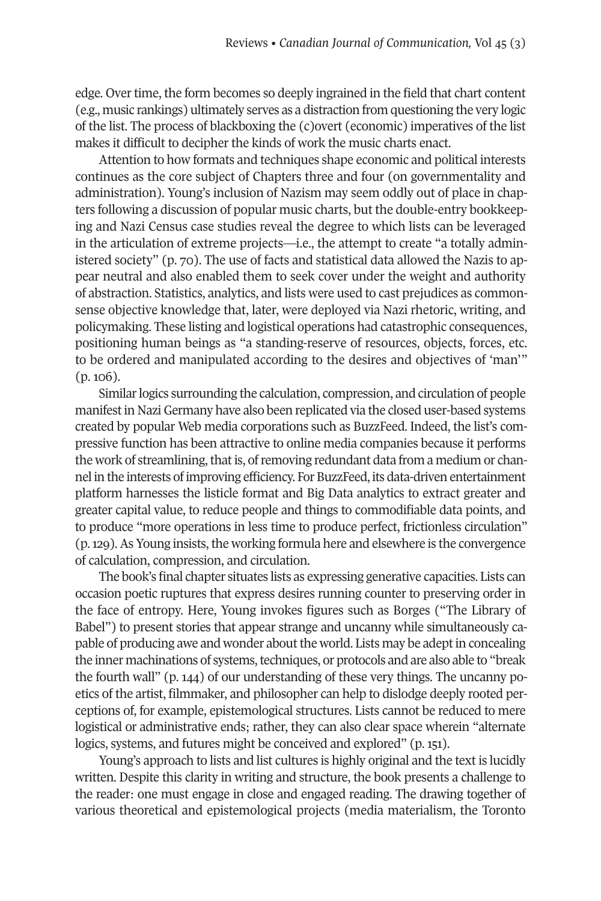edge. Overtime, the form becomes so deeply ingrained in the field that chart content (e.g., music rankings) ultimately serves as a distraction from questioning the very logic of the list. The process of blackboxing the (c)overt (economic) imperatives of the list makes it difficult to decipher the kinds of work the music charts enact.

Attention to how formats and techniques shape economic and political interests continues as the core subject of Chapters three and four (on governmentality and administration). Young's inclusion of Nazism may seem oddly out of place in chapters following a discussion of popular music charts, but the double-entry bookkeeping and Nazi Census case studies reveal the degree to which lists can be leveraged in the articulation of extreme projects—i.e., the attempt to create "a totally administered society" (p. 70). The use of facts and statistical data allowed the Nazis to appear neutral and also enabled them to seek cover under the weight and authority of abstraction. Statistics, analytics, and lists were used to cast prejudices as commonsense objective knowledge that, later, were deployed via Nazi rhetoric, writing, and policymaking. These listing and logistical operations had catastrophic consequences, positioning human beings as "a standing-reserve of resources, objects, forces, etc. to be ordered and manipulated according to the desires and objectives of 'man'" (p. 106).

Similar logics surrounding the calculation, compression, and circulation of people manifest in Nazi Germany have also been replicated via the closed user-based systems created by popular Web media corporations such as BuzzFeed. Indeed, the list's compressive function has been attractive to online media companies because it performs the work of streamlining, that is, of removing redundant data from a medium or channel in the interests ofimproving efficiency. For BuzzFeed, its data-driven entertainment platform harnesses the listicle format and Big Data analytics to extract greater and greater capital value, to reduce people and things to commodifiable data points, and to produce "more operations in less time to produce perfect, frictionless circulation"  $(p, 129)$ . As Young insists, the working formula here and elsewhere is the convergence of calculation, compression, and circulation.

The book's final chapter situates lists as expressing generative capacities. Lists can occasion poetic ruptures that express desires running counter to preserving order in the face of entropy. Here, Young invokes figures such as Borges ("The Library of Babel") to present stories that appear strange and uncanny while simultaneously capable of producing awe and wonder about the world. Lists may be adept in concealing the inner machinations of systems, techniques, or protocols and are also able to "break the fourth wall" (p. 144) of our understanding of these very things. The uncanny poetics of the artist, filmmaker, and philosopher can help to dislodge deeply rooted perceptions of, for example, epistemological structures. Lists cannot be reduced to mere logistical or administrative ends; rather, they can also clear space wherein "alternate logics, systems, and futures might be conceived and explored" (p. 151).

Young's approach to lists and list cultures is highly original and the text is lucidly written. Despite this clarity in writing and structure, the book presents a challenge to the reader: one must engage in close and engaged reading. The drawing together of various theoretical and epistemological projects (media materialism, the Toronto